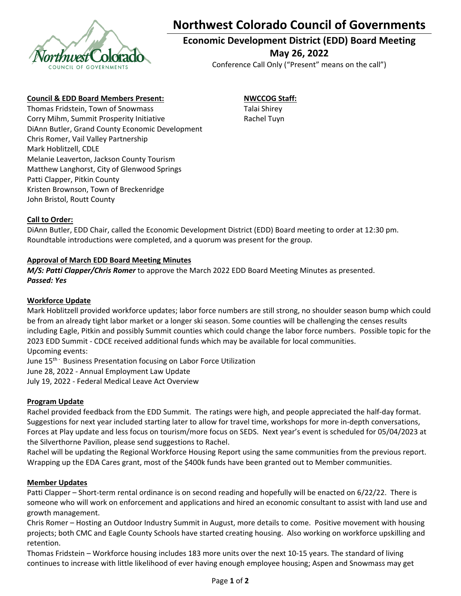

# NO **Northwest Colorado Council of Governments**

### **Economic Development District (EDD) Board Meeting May 26, 2022**

Conference Call Only ("Present" means on the call")

#### **Council & EDD Board Members Present:**

Thomas Fridstein, Town of Snowmass Corry Mihm, Summit Prosperity Initiative DiAnn Butler, Grand County Economic Development Chris Romer, Vail Valley Partnership Mark Hoblitzell, CDLE Melanie Leaverton, Jackson County Tourism Matthew Langhorst, City of Glenwood Springs Patti Clapper, Pitkin County Kristen Brownson, Town of Breckenridge John Bristol, Routt County

## **NWCCOG Staff:**

Talai Shirey Rachel Tuyn

#### **Call to Order:**

DiAnn Butler, EDD Chair, called the Economic Development District (EDD) Board meeting to order at 12:30 pm. Roundtable introductions were completed, and a quorum was present for the group.

#### **Approval of March EDD Board Meeting Minutes**

*M/S: Patti Clapper/Chris Romer* to approve the March 2022 EDD Board Meeting Minutes as presented. *Passed: Yes*

#### **Workforce Update**

Mark Hoblitzell provided workforce updates; labor force numbers are still strong, no shoulder season bump which could be from an already tight labor market or a longer ski season. Some counties will be challenging the censes results including Eagle, Pitkin and possibly Summit counties which could change the labor force numbers. Possible topic for the 2023 EDD Summit ‐ CDCE received additional funds which may be available for local communities. Upcoming events:

June 15<sup>th –</sup> Business Presentation focusing on Labor Force Utilization June 28, 2022 ‐ Annual Employment Law Update July 19, 2022 ‐ Federal Medical Leave Act Overview

#### **Program Update**

Rachel provided feedback from the EDD Summit. The ratings were high, and people appreciated the half‐day format. Suggestions for next year included starting later to allow for travel time, workshops for more in‐depth conversations, Forces at Play update and less focus on tourism/more focus on SEDS. Next year's event is scheduled for 05/04/2023 at the Silverthorne Pavilion, please send suggestions to Rachel.

Rachel will be updating the Regional Workforce Housing Report using the same communities from the previous report. Wrapping up the EDA Cares grant, most of the \$400k funds have been granted out to Member communities.

#### **Member Updates**

Patti Clapper – Short-term rental ordinance is on second reading and hopefully will be enacted on 6/22/22. There is someone who will work on enforcement and applications and hired an economic consultant to assist with land use and growth management.

Chris Romer – Hosting an Outdoor Industry Summit in August, more details to come. Positive movement with housing projects; both CMC and Eagle County Schools have started creating housing. Also working on workforce upskilling and retention.

Thomas Fridstein – Workforce housing includes 183 more units over the next 10‐15 years. The standard of living continues to increase with little likelihood of ever having enough employee housing; Aspen and Snowmass may get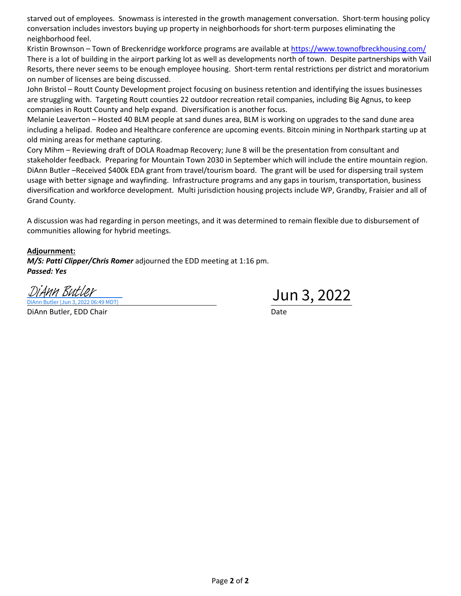starved out of employees. Snowmass is interested in the growth management conversation. Short‐term housing policy conversation includes investors buying up property in neighborhoods for short‐term purposes eliminating the neighborhood feel.

Kristin Brownson – Town of Breckenridge workforce programs are available at https://www.townofbreckhousing.com/ There is a lot of building in the airport parking lot as well as developments north of town. Despite partnerships with Vail Resorts, there never seems to be enough employee housing. Short-term rental restrictions per district and moratorium on number of licenses are being discussed.

John Bristol – Routt County Development project focusing on business retention and identifying the issues businesses are struggling with. Targeting Routt counties 22 outdoor recreation retail companies, including Big Agnus, to keep companies in Routt County and help expand. Diversification is another focus.

Melanie Leaverton – Hosted 40 BLM people at sand dunes area, BLM is working on upgrades to the sand dune area including a helipad. Rodeo and Healthcare conference are upcoming events. Bitcoin mining in Northpark starting up at old mining areas for methane capturing.

Cory Mihm – Reviewing draft of DOLA Roadmap Recovery; June 8 will be the presentation from consultant and stakeholder feedback. Preparing for Mountain Town 2030 in September which will include the entire mountain region. DiAnn Butler –Received \$400k EDA grant from travel/tourism board. The grant will be used for dispersing trail system usage with better signage and wayfinding. Infrastructure programs and any gaps in tourism, transportation, business diversification and workforce development. Multi jurisdiction housing projects include WP, Grandby, Fraisier and all of Grand County.

A discussion was had regarding in person meetings, and it was determined to remain flexible due to disbursement of communities allowing for hybrid meetings.

#### **Adjournment:**

*M/S: Patti Clipper/Chris Romer* adjourned the EDD meeting at 1:16 pm. *Passed: Yes*

 $\frac{D$ *i Ann Butler*<br>
<u>Diann Butler (Jun 3, 2022 06:49 MDT)</u><br>  $D$ DiAnn Butler (Jun 3, 2022 06:49 MDT)

DiAnn Butler, EDD Chair